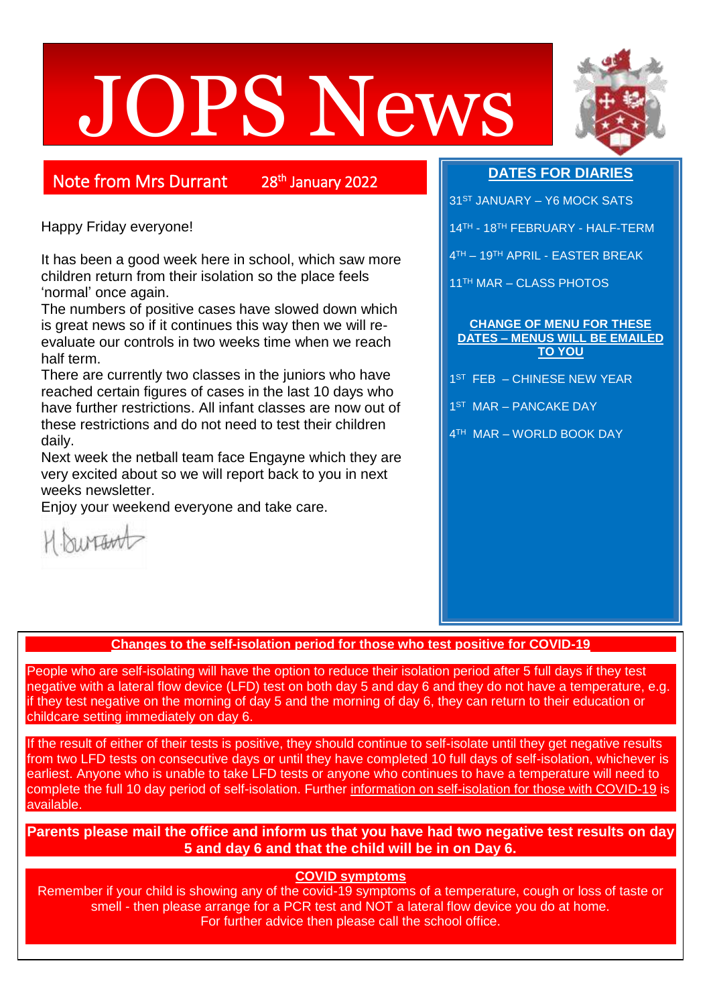# JOPS News



# Note from Mrs Durrant

<sup>th</sup> January 2022

Happy Friday everyone!

It has been a good week here in school, which saw more children return from their isolation so the place feels 'normal' once again.

The numbers of positive cases have slowed down which is great news so if it continues this way then we will reevaluate our controls in two weeks time when we reach half term.

There are currently two classes in the juniors who have reached certain figures of cases in the last 10 days who have further restrictions. All infant classes are now out of these restrictions and do not need to test their children daily.

Next week the netball team face Engayne which they are very excited about so we will report back to you in next weeks newsletter.

Enjoy your weekend everyone and take care.



# **DATES FOR DIARIES**

- 31<sup>ST</sup> JANUARY Y6 MOCK SATS
- 14TH 18TH FEBRUARY HALF-TERM
- 4 TH 19TH APRIL EASTER BREAK

11TH MAR – CLASS PHOTOS

#### **CHANGE OF MENU FOR THESE DATES – MENUS WILL BE EMAILED TO YOU**

- 1 ST FEB CHINESE NEW YEAR
- 1<sup>ST</sup> MAR PANCAKE DAY
- 4 TH MAR WORLD BOOK DAY

**Changes to the self-isolation period for those who test positive for COVID-19**

People who are self-isolating will have the option to reduce their isolation period after 5 full days if they test negative with a lateral flow device (LFD) test on both day 5 and day 6 and they do not have a temperature, e.g. if they test negative on the morning of day 5 and the morning of day 6, they can return to their education or childcare setting immediately on day 6.

If the result of either of their tests is positive, they should continue to self-isolate until they get negative results from two LFD tests on consecutive days or until they have completed 10 full days of self-isolation, whichever is earliest. Anyone who is unable to take LFD tests or anyone who continues to have a temperature will need to complete the full 10 day period of self-isolation. Further [information on self-isolation for those with COVID-19](https://www.gov.uk/government/news/self-isolation-for-those-with-covid-19-can-end-after-five-full-days-following-two-negative-lfd-tests?utm_source=14%20January%202022%20C19&utm_medium=Daily%20Email%20C19&utm_campaign=DfE%20C19) is available.

**Parents please mail the office and inform us that you have had two negative test results on day 5 and day 6 and that the child will be in on Day 6.**

## **COVID symptoms**

Remember if your child is showing any of the covid-19 symptoms of a temperature, cough or loss of taste or smell - then please arrange for a PCR test and NOT a lateral flow device you do at home. For further advice then please call the school office.